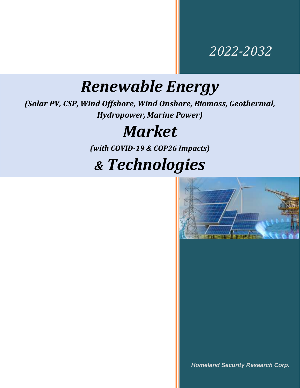### *2022-2032*

## *Renewable Energy*

*(Solar PV, CSP, Wind Offshore, Wind Onshore, Biomass, Geothermal, Hydropower, Marine Power)*

### *Market*

*(with COVID-19 & COP26 Impacts)*

## *& Technologies*



*Homeland Security Research Corp.*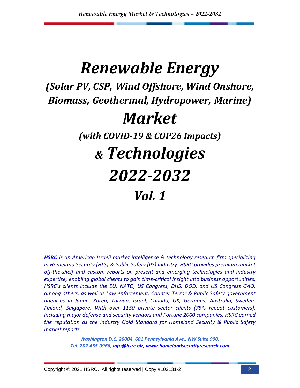# *Renewable Energy (Solar PV, CSP, Wind Offshore, Wind Onshore, Biomass, Geothermal, Hydropower, Marine) Market (with COVID-19 & COP26 Impacts) & Technologies 2022-2032 Vol. 1*

*[HSRC](http://www.homelandsecurityresearch.com/) is an American Israeli market intelligence & technology research firm specializing in Homeland Security (HLS) & Public Safety (PS) Industry. HSRC provides premium market off-the-shelf and custom reports on present and emerging technologies and industry expertise, enabling global clients to gain time-critical insight into business opportunities. HSRC's clients include the EU, NATO, US Congress, DHS, DOD, and US Congress GAO, among others, as well as Law enforcement, Counter Terror & Public Safety government agencies in Japan, Korea, Taiwan, Israel, Canada, UK, Germany, Australia, Sweden, Finland, Singapore. With over 1150 private sector clients (75% repeat customers), including major defense and security vendors and Fortune 2000 companies. HSRC earned the reputation as the industry Gold Standard for Homeland Security & Public Safety market reports.*

> *Washington D.C. 20004, 601 Pennsylvania Ave., NW Suite 900, Tel: 202-455-0966, [info@hsrc.biz,](mailto:info@hsrc.biz) [www.homelandsecurityresearch.com](http://www.homelandsecurityresearch.com/)*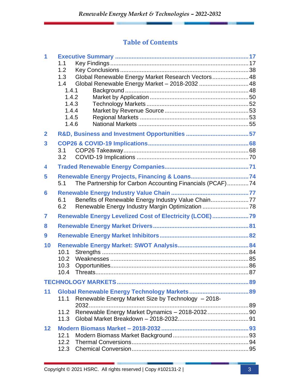#### **Table of Contents**

| 1                       | 1.1<br>1.2<br>1.3<br>1.4<br>1.4.1<br>1.4.2<br>1.4.3<br>1.4.4<br>1.4.5<br>1.4.6 | Global Renewable Energy Market Research Vectors 48<br>Global Renewable Energy Market - 2018-2032  48    |  |
|-------------------------|--------------------------------------------------------------------------------|---------------------------------------------------------------------------------------------------------|--|
| $\mathbf{2}$            |                                                                                |                                                                                                         |  |
| 3                       | 3.1<br>3.2                                                                     |                                                                                                         |  |
| $\overline{\mathbf{4}}$ |                                                                                |                                                                                                         |  |
| 5                       | 5.1                                                                            | The Partnership for Carbon Accounting Financials (PCAF)74                                               |  |
| 6                       | 6.1<br>6.2                                                                     | Benefits of Renewable Energy Industry Value Chain77<br>Renewable Energy Industry Margin Optimization 78 |  |
| 7                       |                                                                                | Renewable Energy Levelized Cost of Electricity (LCOE)79                                                 |  |
| 8                       |                                                                                |                                                                                                         |  |
| 9                       |                                                                                |                                                                                                         |  |
| 10                      | 10.1<br>10.2<br>10.3<br>10.4                                                   |                                                                                                         |  |
|                         |                                                                                |                                                                                                         |  |
| 11                      | 11.1<br>11.2<br>11.3                                                           | Renewable Energy Market Size by Technology - 2018-<br>Renewable Energy Market Dynamics - 2018-203290    |  |
| 12                      | 12.1<br>12.3                                                                   |                                                                                                         |  |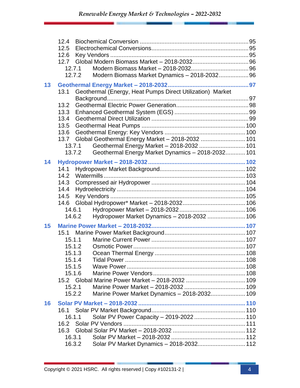|    | 12.4<br>12.5                                                      |  |
|----|-------------------------------------------------------------------|--|
|    | 12.6                                                              |  |
|    | 12.7<br>12.7.1                                                    |  |
|    | Modern Biomass Market Dynamics - 2018-2032 96<br>12.7.2           |  |
| 13 |                                                                   |  |
|    | Geothermal (Energy, Heat Pumps Direct Utilization) Market<br>13.1 |  |
|    |                                                                   |  |
|    | 13.2<br>13.3                                                      |  |
|    | 13.4                                                              |  |
|    | 13.5                                                              |  |
|    | 13.6                                                              |  |
|    | Global Geothermal Energy Market - 2018-2032  101<br>13.7          |  |
|    | Geothermal Energy Market - 2018-2032  101<br>13.7.1               |  |
|    | Geothermal Energy Market Dynamics - 2018-2032 101<br>13.7.2       |  |
| 14 |                                                                   |  |
|    | 14.1                                                              |  |
|    | 14.2                                                              |  |
|    | 14.3                                                              |  |
|    | 14.4                                                              |  |
|    | 14.5                                                              |  |
|    | 14.6                                                              |  |
|    | 14.6.1<br>Hydropower Market Dynamics - 2018-2032  106<br>14.6.2   |  |
|    |                                                                   |  |
| 15 |                                                                   |  |
|    | 15.1                                                              |  |
|    | 15.1.1<br>15.1.2                                                  |  |
|    | 15.1.3                                                            |  |
|    | 15.1.4                                                            |  |
|    | 15.1.5                                                            |  |
|    | 15.1.6                                                            |  |
|    |                                                                   |  |
|    | 15.2.1                                                            |  |
|    | Marine Power Market Dynamics - 2018-2032 109<br>15.2.2            |  |
| 16 |                                                                   |  |
|    | 16.1                                                              |  |
|    | Solar PV Power Capacity - 2019-2022  110<br>16.1.1                |  |
|    | 16.2                                                              |  |
|    | 16.3                                                              |  |
|    | 16.3.1<br>16.3.2<br>Solar PV Market Dynamics - 2018-2032 112      |  |
|    |                                                                   |  |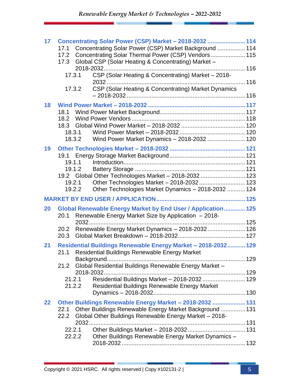| 17 |      |        | Concentrating Solar Power (CSP) Market - 2018-2032  114       |  |
|----|------|--------|---------------------------------------------------------------|--|
|    | 17.1 |        | Concentrating Solar Power (CSP) Market Background  114        |  |
|    | 17.2 |        | Concentrating Solar Thermal Power (CSP) Vendors 115           |  |
|    | 17.3 |        | Global CSP (Solar Heating & Concentrating) Market -           |  |
|    |      |        |                                                               |  |
|    |      | 17.3.1 | CSP (Solar Heating & Concentrating) Market - 2018-            |  |
|    |      |        |                                                               |  |
|    |      | 17.3.2 | CSP (Solar Heating & Concentrating) Market Dynamics           |  |
|    |      |        |                                                               |  |
| 18 |      |        |                                                               |  |
|    |      |        |                                                               |  |
|    | 18.2 |        |                                                               |  |
|    | 18.3 |        |                                                               |  |
|    |      | 18.3.1 |                                                               |  |
|    |      | 18.3.2 | Wind Power Market Dynamics - 2018-2032  120                   |  |
| 19 |      |        |                                                               |  |
|    |      |        |                                                               |  |
|    |      | 19.1.1 |                                                               |  |
|    |      | 19.1.2 |                                                               |  |
|    |      |        | 19.2 Global Other Technologies Market - 2018-2032  123        |  |
|    |      | 19.2.1 | Other Technologies Market - 2018-2032 123                     |  |
|    |      | 19.2.2 | Other Technologies Market Dynamics - 2018-2032  124           |  |
|    |      |        |                                                               |  |
| 20 |      |        | Global Renewable Energy Market by End User / Application 125  |  |
|    | 20.1 |        | Renewable Energy Market Size by Application - 2018-           |  |
|    |      |        |                                                               |  |
|    | 20.2 |        | Renewable Energy Market Dynamics - 2018-2032 126              |  |
|    | 20.3 |        |                                                               |  |
|    |      |        |                                                               |  |
| 21 | 21.1 |        | Residential Buildings Renewable Energy Market - 2018-2032 129 |  |
|    |      |        | Residential Buildings Renewable Energy Market                 |  |
|    | 21.2 |        | Global Residential Buildings Renewable Energy Market -        |  |
|    |      |        |                                                               |  |
|    |      | 21.2.1 | Residential Buildings Market - 2018-2032  129                 |  |
|    |      | 21.2.2 | Residential Buildings Renewable Energy Market                 |  |
|    |      |        |                                                               |  |
|    |      |        |                                                               |  |
| 22 |      |        | Other Buildings Renewable Energy Market - 2018-2032  131      |  |
|    | 22.1 |        | Other Buildings Renewable Energy Market Background  131       |  |
|    | 22.2 |        | Global Other Buildings Renewable Energy Market - 2018-        |  |
|    |      | 2032   |                                                               |  |
|    |      | 22.2.1 |                                                               |  |
|    |      | 22.2.2 | Other Buildings Renewable Energy Market Dynamics -            |  |
|    |      |        |                                                               |  |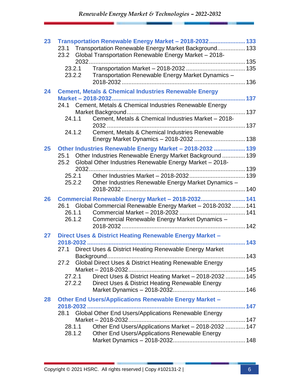| 23 | 23.1<br>23.2             | Transportation Renewable Energy Market - 2018-2032 133<br>Transportation Renewable Energy Market Background 133<br>Global Transportation Renewable Energy Market - 2018-                                                                                                                       |  |
|----|--------------------------|------------------------------------------------------------------------------------------------------------------------------------------------------------------------------------------------------------------------------------------------------------------------------------------------|--|
|    | 23.2.1<br>23.2.2         | Transportation Renewable Energy Market Dynamics -                                                                                                                                                                                                                                              |  |
| 24 | 24.1.1<br>24.1.2         | <b>Cement, Metals &amp; Chemical Industries Renewable Energy</b><br>24.1 Cement, Metals & Chemical Industries Renewable Energy<br>Cement, Metals & Chemical Industries Market - 2018-<br>Cement, Metals & Chemical Industries Renewable                                                        |  |
| 25 | 25.2<br>25.2.1<br>25.2.2 | Other Industries Renewable Energy Market - 2018-2032  139<br>25.1 Other Industries Renewable Energy Market Background  139<br>Global Other Industries Renewable Energy Market - 2018-<br>Other Industries Renewable Energy Market Dynamics -                                                   |  |
| 26 | 26.1.1<br>26.1.2         | Commercial Renewable Energy Market - 2018-2032 141<br>26.1 Global Commercial Renewable Energy Market - 2018-2032  141<br>Commercial Renewable Energy Market Dynamics -                                                                                                                         |  |
| 27 | 27.1<br>27.2.1<br>27.2.2 | Direct Uses & District Heating Renewable Energy Market -<br>Direct Uses & District Heating Renewable Energy Market<br>27.2 Global Direct Uses & District Heating Renewable Energy<br>Direct Uses & District Heating Market - 2018-2032  145<br>Direct Uses & District Heating Renewable Energy |  |
| 28 | 28.1<br>28.1.1<br>28.1.2 | <b>Other End Users/Applications Renewable Energy Market -</b><br>Global Other End Users/Applications Renewable Energy<br>Other End Users/Applications Market - 2018-2032  147<br>Other End Users/Applications Renewable Energy                                                                 |  |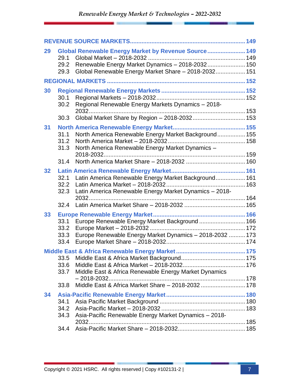| 29 | 29.1<br>29.2<br>29.3         | Global Renewable Energy Market by Revenue Source 149<br>Renewable Energy Market Dynamics - 2018-2032 150<br>Global Renewable Energy Market Share - 2018-2032 151 |  |
|----|------------------------------|------------------------------------------------------------------------------------------------------------------------------------------------------------------|--|
|    |                              |                                                                                                                                                                  |  |
| 30 | 30.1<br>30.2                 | Regional Renewable Energy Markets Dynamics - 2018-                                                                                                               |  |
|    | 30.3                         | Global Market Share by Region - 2018-2032 153                                                                                                                    |  |
| 31 | 31.1<br>31.2<br>31.3<br>31.4 | North America Renewable Energy Market Background 155<br>North America Renewable Energy Market Dynamics -                                                         |  |
|    |                              |                                                                                                                                                                  |  |
| 32 | 32.1<br>32.2<br>32.3         | Latin America Renewable Energy Market Background 161<br>Latin America Renewable Energy Market Dynamics - 2018-                                                   |  |
|    | 32.4                         |                                                                                                                                                                  |  |
| 33 | 33.1<br>33.2<br>33.3<br>33.4 | Europe Renewable Energy Market Background  166<br>Europe Renewable Energy Market Dynamics - 2018-2032  173                                                       |  |
|    |                              |                                                                                                                                                                  |  |
|    | 33.6<br>33.7                 | Middle East & Africa Renewable Energy Market Dynamics<br>$-2018 - 2032$                                                                                          |  |
|    | 33.8                         | Middle East & Africa Market Share - 2018-2032  178                                                                                                               |  |
| 34 | 34.1<br>34.2<br>34.3         | Asia-Pacific Renewable Energy Market Dynamics - 2018-                                                                                                            |  |
|    | 34.4                         |                                                                                                                                                                  |  |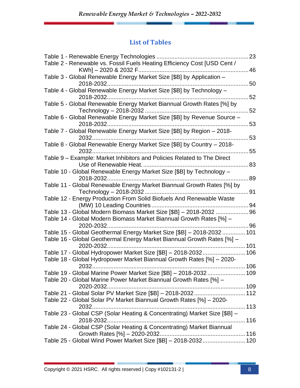#### **List of Tables**

|                                                                                                                                                 | 23   |
|-------------------------------------------------------------------------------------------------------------------------------------------------|------|
| Table 2 - Renewable vs. Fossil Fuels Heating Efficiency Cost [USD Cent /                                                                        | 46   |
| Table 3 - Global Renewable Energy Market Size [\$B] by Application -<br>2018-2032.                                                              | 50   |
| Table 4 - Global Renewable Energy Market Size [\$B] by Technology -                                                                             | 52   |
| Table 5 - Global Renewable Energy Market Biannual Growth Rates [%] by                                                                           | 52   |
| Table 6 - Global Renewable Energy Market Size [\$B] by Revenue Source -<br>2018-2032                                                            | 53   |
| Table 7 - Global Renewable Energy Market Size [\$B] by Region - 2018-<br>$2032$                                                                 | 53   |
| Table 8 - Global Renewable Energy Market Size [\$B] by Country - 2018-                                                                          | 55   |
| Table 9 - Example: Market Inhibitors and Policies Related to The Direct                                                                         | 83   |
| Table 10 - Global Renewable Energy Market Size [\$B] by Technology -<br>2018-2032                                                               | 89   |
| Table 11 - Global Renewable Energy Market Biannual Growth Rates [%] by                                                                          | 91   |
| Table 12 - Energy Production From Solid Biofuels And Renewable Waste                                                                            |      |
|                                                                                                                                                 |      |
| Table 13 - Global Modern Biomass Market Size [\$B] - 2018-2032  96                                                                              |      |
| Table 14 - Global Modern Biomass Market Biannual Growth Rates [%] -                                                                             |      |
| 2020-2032                                                                                                                                       | 96   |
| Table 15 - Global Geothermal Energy Market Size [\$B] - 2018-2032 101<br>Table 16 - Global Geothermal Energy Market Biannual Growth Rates [%] - |      |
| 2020-2032.                                                                                                                                      |      |
| Table 17 - Global Hydropower Market Size [\$B] - 2018-2032 106                                                                                  |      |
| Table 18 - Global Hydropower Market Biannual Growth Rates [%] - 2020-                                                                           |      |
| 2032                                                                                                                                            | .106 |
| Table 19 - Global Marine Power Market Size [\$B] - 2018-2032 109                                                                                |      |
| Table 20 - Global Marine Power Market Biannual Growth Rates [%] -<br>2020-2032                                                                  |      |
| Table 21 - Global Solar PV Market Size [\$B] - 2018-2032 112                                                                                    |      |
| Table 22 - Global Solar PV Market Biannual Growth Rates [%] - 2020-                                                                             |      |
|                                                                                                                                                 | 113  |
| Table 23 - Global CSP (Solar Heating & Concentrating) Market Size [\$B] -                                                                       |      |
| Table 24 - Global CSP (Solar Heating & Concentrating) Market Biannual                                                                           |      |
| Table 25 - Global Wind Power Market Size [\$B] - 2018-2032 120                                                                                  |      |
|                                                                                                                                                 |      |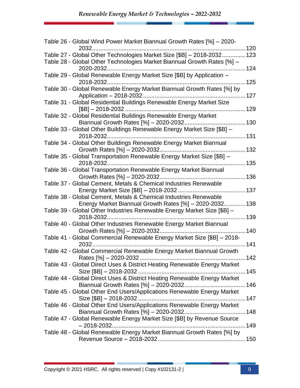| Table 26 - Global Wind Power Market Biannual Growth Rates [%] - 2020-                                                       | . 120 |
|-----------------------------------------------------------------------------------------------------------------------------|-------|
| Table 27 - Global Other Technologies Market Size [\$B] - 2018-2032 123                                                      |       |
| Table 28 - Global Other Technologies Market Biannual Growth Rates [%] -                                                     |       |
| Table 29 - Global Renewable Energy Market Size [\$B] by Application -                                                       | 125   |
| Table 30 - Global Renewable Energy Market Biannual Growth Rates [%] by                                                      |       |
| Table 31 - Global Residential Buildings Renewable Energy Market Size<br>$[$B] - 2018 - 2032.$                               |       |
| Table 32 - Global Residential Buildings Renewable Energy Market                                                             |       |
|                                                                                                                             |       |
| Table 33 - Global Other Buildings Renewable Energy Market Size [\$B] -                                                      |       |
| Table 34 - Global Other Buildings Renewable Energy Market Biannual                                                          |       |
| Table 35 - Global Transportation Renewable Energy Market Size [\$B] -                                                       | 135   |
| Table 36 - Global Transportation Renewable Energy Market Biannual                                                           |       |
| Table 37 - Global Cement, Metals & Chemical Industries Renewable                                                            |       |
| Table 38 - Global Cement, Metals & Chemical Industries Renewable<br>Energy Market Biannual Growth Rates [%] - 2020-2032 138 |       |
| Table 39 - Global Other Industries Renewable Energy Market Size [\$B] -<br>2018-2032                                        |       |
| Table 40 - Global Other Industries Renewable Energy Market Biannual                                                         | . 139 |
| Table 41 - Global Commercial Renewable Energy Market Size [\$B] - 2018-                                                     |       |
| 2032.                                                                                                                       | .141  |
| Table 42 - Global Commercial Renewable Energy Market Biannual Growth<br>Rates [%] - 2020-2032                               | 142   |
| Table 43 - Global Direct Uses & District Heating Renewable Energy Market                                                    |       |
| Table 44 - Global Direct Uses & District Heating Renewable Energy Market                                                    |       |
| Table 45 - Global Other End Users/Applications Renewable Energy Market                                                      |       |
| Table 46 - Global Other End Users/Applications Renewable Energy Market                                                      |       |
| Table 47 - Global Renewable Energy Market Size [\$B] by Revenue Source                                                      |       |
| Table 48 - Global Renewable Energy Market Biannual Growth Rates [%] by                                                      |       |
|                                                                                                                             |       |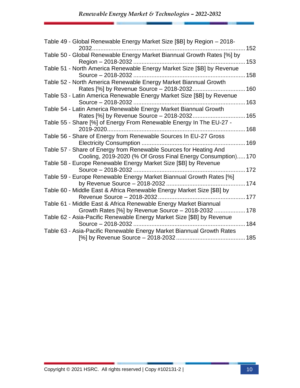| Table 49 - Global Renewable Energy Market Size [\$B] by Region - 2018-<br>2032                                                   | 152 |
|----------------------------------------------------------------------------------------------------------------------------------|-----|
| Table 50 - Global Renewable Energy Market Biannual Growth Rates [%] by<br>Region - 2018-2032                                     | 153 |
| Table 51 - North America Renewable Energy Market Size [\$B] by Revenue<br>Source - 2018-2032<br>158                              |     |
| Table 52 - North America Renewable Energy Market Biannual Growth<br>Rates [%] by Revenue Source - 2018-2032.                     | 160 |
| Table 53 - Latin America Renewable Energy Market Size [\$B] by Revenue<br>Source - 2018-2032.                                    | 163 |
| Table 54 - Latin America Renewable Energy Market Biannual Growth<br>165<br>Rates [%] by Revenue Source - 2018-2032               |     |
| Table 55 - Share [%] of Energy From Renewable Energy In The EU-27 -<br>2019-2020                                                 | 168 |
| Table 56 - Share of Energy from Renewable Sources In EU-27 Gross<br>Electricity Consumption                                      | 169 |
| Table 57 - Share of Energy from Renewable Sources for Heating And<br>Cooling, 2019-2020 (% Of Gross Final Energy Consumption)170 |     |
| Table 58 - Europe Renewable Energy Market Size [\$B] by Revenue<br>Source - 2018-2032                                            | 172 |
| Table 59 - Europe Renewable Energy Market Biannual Growth Rates [%]                                                              |     |
| Table 60 - Middle East & Africa Renewable Energy Market Size [\$B] by<br>Revenue Source - 2018-2032.                             | 177 |
| Table 61 - Middle East & Africa Renewable Energy Market Biannual<br>Growth Rates [%] by Revenue Source - 2018-2032  178          |     |
| Table 62 - Asia-Pacific Renewable Energy Market Size [\$B] by Revenue<br>Source - 2018-2032                                      | 184 |
| Table 63 - Asia-Pacific Renewable Energy Market Biannual Growth Rates                                                            |     |
|                                                                                                                                  |     |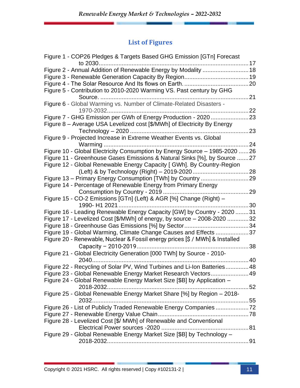### **List of Figures**

| Figure 1 - COP26 Pledges & Targets Based GHG Emission [GTn] Forecast         |            |
|------------------------------------------------------------------------------|------------|
|                                                                              |            |
| Figure 2 - Annual Addition of Renewable Energy by Modality  18               |            |
|                                                                              |            |
|                                                                              |            |
| Figure 5 - Contribution to 2010-2020 Warming VS. Past century by GHG         |            |
|                                                                              | $\dots$ 21 |
| Figure 6 - Global Warming vs. Number of Climate-Related Disasters -          |            |
|                                                                              | 22         |
|                                                                              |            |
| Figure 8 - Average USA Levelized cost [\$/MWh] of Electricity By Energy      |            |
|                                                                              | 23         |
| Figure 9 - Projected Increase in Extreme Weather Events vs. Global           |            |
|                                                                              | 24         |
| Figure 10 - Global Electricity Consumption by Energy Source - 1985-2020  26  |            |
| Figure 11 - Greenhouse Gases Emissions & Natural Sinks [%], by Source 27     |            |
| Figure 12 - Global Renewable Energy Capacity [ GWh]. By Country-Region       |            |
|                                                                              |            |
|                                                                              |            |
| Figure 14 - Percentage of Renewable Energy from Primary Energy               |            |
|                                                                              | 29         |
| Figure 15 - CO-2 Emissions [GTn] (Left) & AGR [%] Change (Right) -           |            |
| 1990- H1 2021                                                                | 30         |
| Figure 16 - Leading Renewable Energy Capacity [GW] by Country - 2020 31      |            |
| Figure 17 - Levelized Cost [\$/MWh] of energy, by source - 2008-2020 32      |            |
|                                                                              |            |
| Figure 19 - Global Warming, Climate Change Causes and Effects 37             |            |
| Figure 20 - Renewable, Nuclear & Fossil energy prices [\$ / MWh] & Installed |            |
|                                                                              | 38         |
| Figure 21 - Global Electricity Generation [000 TWh] by Source - 2010-        |            |
| 2040.                                                                        | 40         |
| Figure 22 - Recycling of Solar PV, Wind Turbines and Li-Ion Batteries48      |            |
| Figure 23 - Global Renewable Energy Market Research Vectors 49               |            |
| Figure 24 - Global Renewable Energy Market Size [\$B] by Application -       |            |
|                                                                              |            |
|                                                                              |            |
| Figure 25 - Global Renewable Energy Market Share [%] by Region - 2018-       |            |
| Figure 26 - List of Publicly Traded Renewable Energy Companies 72            |            |
|                                                                              |            |
|                                                                              |            |
| Figure 28 - Levelized Cost [\$/ MWh] of Renewable and Conventional           |            |
|                                                                              |            |
| Figure 29 - Global Renewable Energy Market Size [\$B] by Technology -        |            |
|                                                                              |            |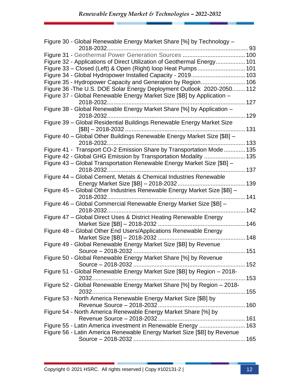| Figure 30 - Global Renewable Energy Market Share [%] by Technology -                         |      |
|----------------------------------------------------------------------------------------------|------|
|                                                                                              | 93   |
|                                                                                              |      |
| Figure 32 - Applications of Direct Utilization of Geothermal Energy 101                      |      |
|                                                                                              |      |
| Figure 34 - Global Hydropower Installed Capacity - 2019 103                                  |      |
| Figure 35 - Hydropower Capacity and Generation by Region 106                                 |      |
| Figure 36 - The U.S. DOE Solar Energy Deployment Outlook 2020-2050 112                       |      |
| Figure 37 - Global Renewable Energy Market Size [\$B] by Application -                       |      |
|                                                                                              |      |
| Figure 38 - Global Renewable Energy Market Share [%] by Application -                        |      |
|                                                                                              |      |
| Figure 39 - Global Residential Buildings Renewable Energy Market Size                        |      |
|                                                                                              | .131 |
| Figure 40 - Global Other Buildings Renewable Energy Market Size [\$B] -<br>2018-2032         |      |
|                                                                                              |      |
| Figure 41 - Transport CO-2 Emission Share by Transportation Mode  135                        |      |
| Figure 42 - Global GHG Emission by Transportation Modality  135                              |      |
| Figure 43 - Global Transportation Renewable Energy Market Size [\$B] -<br>2018-2032<br>. 137 |      |
| Figure 44 - Global Cement, Metals & Chemical Industries Renewable                            |      |
|                                                                                              | .139 |
| Figure 45 - Global Other Industries Renewable Energy Market Size [\$B] -                     |      |
|                                                                                              |      |
| Figure 46 - Global Commercial Renewable Energy Market Size [\$B] -                           |      |
| 2018-2032                                                                                    | 142  |
| Figure 47 - Global Direct Uses & District Heating Renewable Energy                           |      |
|                                                                                              | 146  |
| Figure 48 - Global Other End Users/Applications Renewable Energy                             |      |
|                                                                                              | .148 |
| Figure 49 - Global Renewable Energy Market Size [\$B] by Revenue                             |      |
|                                                                                              | 151  |
| Figure 50 - Global Renewable Energy Market Share [%] by Revenue                              |      |
|                                                                                              |      |
| Figure 51 - Global Renewable Energy Market Size [\$B] by Region - 2018-                      |      |
|                                                                                              |      |
| Figure 52 - Global Renewable Energy Market Share [%] by Region - 2018-                       |      |
|                                                                                              |      |
| Figure 53 - North America Renewable Energy Market Size [\$B] by                              |      |
|                                                                                              |      |
| Figure 54 - North America Renewable Energy Market Share [%] by                               |      |
|                                                                                              |      |
| Figure 55 - Latin America investment in Renewable Energy  163                                |      |
| Figure 56 - Latin America Renewable Energy Market Size [\$B] by Revenue                      |      |
|                                                                                              |      |
|                                                                                              |      |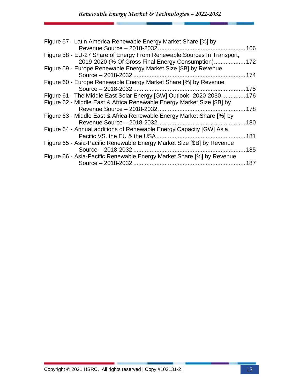| Figure 57 - Latin America Renewable Energy Market Share [%] by                                                                                  | 166 |
|-------------------------------------------------------------------------------------------------------------------------------------------------|-----|
| Figure 58 - EU-27 Share of Energy From Renewable Sources In Transport,<br>2019-2020 (% Of Gross Final Energy Consumption) 172                   |     |
| Figure 59 - Europe Renewable Energy Market Size [\$B] by Revenue                                                                                | 174 |
| Figure 60 - Europe Renewable Energy Market Share [%] by Revenue                                                                                 | 175 |
| Figure 61 - The Middle East Solar Energy [GW] Outlook -2020-2030  176<br>Figure 62 - Middle East & Africa Renewable Energy Market Size [\$B] by |     |
| Figure 63 - Middle East & Africa Renewable Energy Market Share [%] by                                                                           | 178 |
| Revenue Source - 2018-2032                                                                                                                      | 180 |
| Figure 64 - Annual additions of Renewable Energy Capacity [GW] Asia                                                                             | 181 |
| Figure 65 - Asia-Pacific Renewable Energy Market Size [\$B] by Revenue                                                                          | 185 |
| Figure 66 - Asia-Pacific Renewable Energy Market Share [%] by Revenue<br>Source - 2018-2032                                                     | 187 |
|                                                                                                                                                 |     |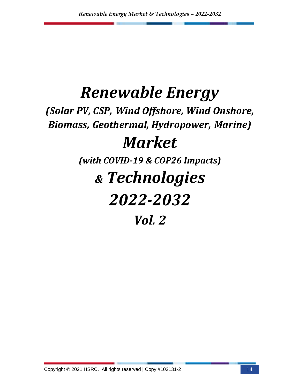## *Renewable Energy*

*(Solar PV, CSP, Wind Offshore, Wind Onshore, Biomass, Geothermal, Hydropower, Marine)*

### *Market*

*(with COVID-19 & COP26 Impacts)* 

## *& Technologies*

# *2022-2032*

*Vol. 2*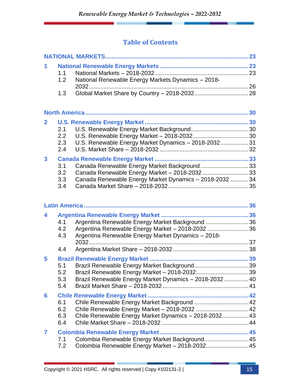#### **Table of Contents**

| 1            | 1.1<br>1.2               | National Renewable Energy Markets Dynamics - 2018-                                                                                                        |  |  |
|--------------|--------------------------|-----------------------------------------------------------------------------------------------------------------------------------------------------------|--|--|
|              | 1.3                      |                                                                                                                                                           |  |  |
|              |                          |                                                                                                                                                           |  |  |
| $\mathbf{2}$ | 2.1<br>2.2<br>2.3<br>2.4 | U.S. Renewable Energy Market Dynamics - 2018-203231                                                                                                       |  |  |
| 3            | 3.1<br>3.2<br>3.3<br>3.4 | Canada Renewable Energy Market Background 33<br>Canada Renewable Energy Market - 2018-2032 33<br>Canada Renewable Energy Market Dynamics - 2018-2032  34  |  |  |
|              |                          |                                                                                                                                                           |  |  |
| 4            | 4.1<br>4.2<br>4.3        | Argentina Renewable Energy Market Background 36<br>Argentina Renewable Energy Market - 2018-2032 36<br>Argentina Renewable Energy Market Dynamics - 2018- |  |  |
|              | 4.4                      |                                                                                                                                                           |  |  |
| 5            | 5.1<br>5.2<br>5.3<br>5.4 | Brazil Renewable Energy Market Dynamics - 2018-2032 40                                                                                                    |  |  |
| 6            | 6.1<br>6.2<br>6.3<br>6.4 | Chile Renewable Energy Market Background  42<br>Chile Renewable Energy Market - 2018-2032  42<br>Chile Renewable Energy Market Dynamics - 2018-2032 43    |  |  |
| 7            | 7.1<br>7.2               | Colombia Renewable Energy Market Background 45<br>Colombia Renewable Energy Market - 2018-2032 45                                                         |  |  |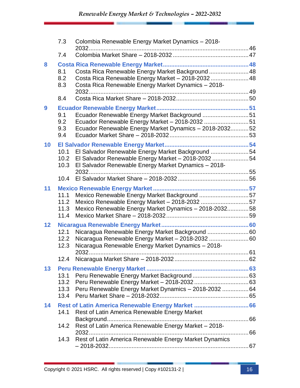|    | 7.3                          | Colombia Renewable Energy Market Dynamics - 2018-                                                                                                               |  |
|----|------------------------------|-----------------------------------------------------------------------------------------------------------------------------------------------------------------|--|
|    | 7.4                          |                                                                                                                                                                 |  |
| 8  | 8.1<br>8.2<br>8.3            | Costa Rica Renewable Energy Market Background  48<br>Costa Rica Renewable Energy Market - 2018-2032  48<br>Costa Rica Renewable Energy Market Dynamics - 2018-  |  |
|    | 8.4                          |                                                                                                                                                                 |  |
| 9  | 9.1<br>9.2<br>9.3<br>9.4     | Ecuador Renewable Energy Market Background 51<br>Ecuador Renewable Energy Market - 2018-2032 51<br>Ecuador Renewable Energy Market Dynamics - 2018-203252       |  |
| 10 | 10.1<br>10.2<br>10.3         | El Salvador Renewable Energy Market Background 54<br>El Salvador Renewable Energy Market - 2018-2032 54<br>El Salvador Renewable Energy Market Dynamics - 2018- |  |
|    | 10.4                         |                                                                                                                                                                 |  |
| 11 | 11.1<br>11.2<br>11.3<br>11.4 | Mexico Renewable Energy Market Background 57<br>Mexico Renewable Energy Market - 2018-2032 57<br>Mexico Renewable Energy Market Dynamics - 2018-203258          |  |
| 12 | 12.1<br>12.2<br>12.3         | Nicaragua Renewable Energy Market Background  60<br>Nicaragua Renewable Energy Market - 2018-2032 60<br>Nicaragua Renewable Energy Market Dynamics - 2018-      |  |
|    | 12.4                         |                                                                                                                                                                 |  |
| 13 | 13.1<br>13.2<br>13.3<br>13.4 | Peru Renewable Energy Market Dynamics - 2018-2032  64                                                                                                           |  |
| 14 | 14.1                         | Rest of Latin America Renewable Energy Market  66<br>Rest of Latin America Renewable Energy Market                                                              |  |
|    | 14.2                         | Rest of Latin America Renewable Energy Market - 2018-                                                                                                           |  |
|    | 14.3                         | Rest of Latin America Renewable Energy Market Dynamics                                                                                                          |  |
|    |                              |                                                                                                                                                                 |  |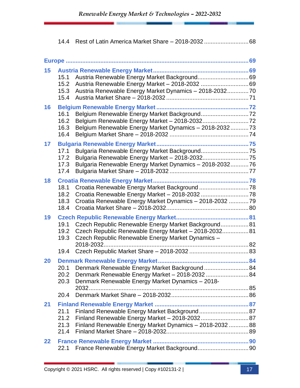|    | 14.4                         |                                                                                                                                                                    |  |
|----|------------------------------|--------------------------------------------------------------------------------------------------------------------------------------------------------------------|--|
|    |                              |                                                                                                                                                                    |  |
| 15 | 15.1<br>15.2<br>15.3<br>15.4 | Austria Renewable Energy Market Dynamics - 2018-203270                                                                                                             |  |
| 16 | 16.1<br>16.2<br>16.3<br>16.4 | Belgium Renewable Energy Market Dynamics - 2018-203273                                                                                                             |  |
| 17 | 17.1<br>17.2<br>17.3<br>17.4 | Bulgaria Renewable Energy Market Background75<br>Bulgaria Renewable Energy Market Dynamics - 2018-203276                                                           |  |
| 18 | 18.1<br>18.2<br>18.3<br>18.4 | Croatia Renewable Energy Market Background 78<br>Croatia Renewable Energy Market Dynamics - 2018-2032 79                                                           |  |
| 19 | 19.1<br>19.2<br>19.3         | Czech Republic Renewable Energy Market Background 81<br>Czech Republic Renewable Energy Market - 2018-2032 81<br>Czech Republic Renewable Energy Market Dynamics - |  |
|    | 19.4                         |                                                                                                                                                                    |  |
| 20 | 20.1<br>20.2<br>20.3         | Denmark Renewable Energy Market Background 84<br>Denmark Renewable Energy Market - 2018-2032  84<br>Denmark Renewable Energy Market Dynamics - 2018-               |  |
|    | 20.4                         |                                                                                                                                                                    |  |
| 21 | 21.1<br>21.2<br>21.3<br>21.4 | Finland Renewable Energy Market Background 87<br>Finland Renewable Energy Market Dynamics - 2018-2032  88                                                          |  |
| 22 | 22.1                         |                                                                                                                                                                    |  |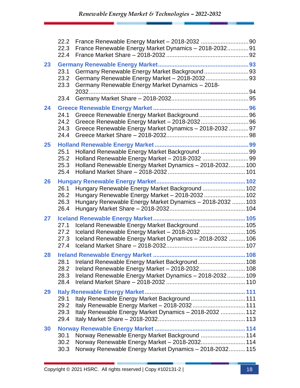|    | 22.2<br>22.3<br>22.4         | France Renewable Energy Market Dynamics - 2018-2032 91                                                                                                           |  |
|----|------------------------------|------------------------------------------------------------------------------------------------------------------------------------------------------------------|--|
| 23 | 23.1<br>23.2<br>23.3         | Germany Renewable Energy Market Background93<br>Germany Renewable Energy Market Dynamics - 2018-                                                                 |  |
|    | 23.4                         |                                                                                                                                                                  |  |
| 24 | 24.1<br>24.2<br>24.3<br>24.4 | Greece Renewable Energy Market Dynamics - 2018-2032  97                                                                                                          |  |
| 25 | 25.1<br>25.2<br>25.3<br>25.4 | Holland Renewable Energy Market Background 99<br>Holland Renewable Energy Market Dynamics - 2018-2032 100                                                        |  |
| 26 | 26.1<br>26.2<br>26.3<br>26.4 | Hungary Renewable Energy Market Background  102<br>Hungary Renewable Energy Market - 2018-2032  102<br>Hungary Renewable Energy Market Dynamics - 2018-2032  103 |  |
| 27 | 27.1<br>27.2<br>27.3<br>27.4 | Iceland Renewable Energy Market Background  105<br>Iceland Renewable Energy Market - 2018-2032  105<br>Iceland Renewable Energy Market Dynamics - 2018-2032  106 |  |
| 28 | 28.1<br>28.2<br>28.3<br>28.4 | Ireland Renewable Energy Market Background 108<br>Ireland Renewable Energy Market - 2018-2032 108<br>Ireland Renewable Energy Market Dynamics - 2018-2032 109    |  |
| 29 | 29.1<br>29.2<br>29.3<br>29.4 | Italy Renewable Energy Market Background  111<br>Italy Renewable Energy Market - 2018-2032  111<br>Italy Renewable Energy Market Dynamics - 2018-2032  112       |  |
| 30 | 30.1<br>30.2<br>30.3         | Norway Renewable Energy Market Background  114<br>Norway Renewable Energy Market - 2018-2032 114<br>Norway Renewable Energy Market Dynamics - 2018-2032 115      |  |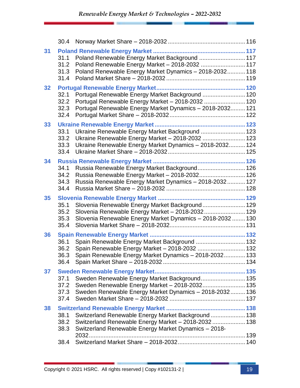|    | 30.4                         |                                                                                                                                                                     |  |
|----|------------------------------|---------------------------------------------------------------------------------------------------------------------------------------------------------------------|--|
| 31 | 31.1<br>31.2<br>31.3<br>31.4 | Poland Renewable Energy Market Background  117<br>Poland Renewable Energy Market - 2018-2032  117<br>Poland Renewable Energy Market Dynamics - 2018-2032 118        |  |
| 32 | 32.1<br>32.2<br>32.3<br>32.4 | Portugal Renewable Energy Market Background  120<br>Portugal Renewable Energy Market - 2018-2032  120<br>Portugal Renewable Energy Market Dynamics - 2018-2032 121  |  |
| 33 | 33.1<br>33.2<br>33.3<br>33.4 | Ukraine Renewable Energy Market Background  123<br>Ukraine Renewable Energy Market - 2018-2032  123<br>Ukraine Renewable Energy Market Dynamics - 2018-2032 124     |  |
| 34 | 34.1<br>34.2<br>34.3<br>34.4 | Russia Renewable Energy Market Background 126<br>Russia Renewable Energy Market - 2018-2032 126<br>Russia Renewable Energy Market Dynamics - 2018-2032 127          |  |
| 35 | 35.1<br>35.2<br>35.3<br>35.4 | Slovenia Renewable Energy Market Background 129<br>Slovenia Renewable Energy Market - 2018-2032 129<br>Slovenia Renewable Energy Market Dynamics - 2018-2032  130   |  |
| 36 | 36.1<br>36.2<br>36.3<br>36.4 | Spain Renewable Energy Market Background  132<br>Spain Renewable Energy Market Dynamics - 2018-2032 133                                                             |  |
| 37 | 37.1<br>37.2<br>37.3<br>37.4 | Sweden Renewable Energy Market Background 135<br>Sweden Renewable Energy Market - 2018-2032 135<br>Sweden Renewable Energy Market Dynamics - 2018-2032 136          |  |
| 38 | 38.1<br>38.2<br>38.3         | Switzerland Renewable Energy Market Background  138<br>Switzerland Renewable Energy Market - 2018-2032  138<br>Switzerland Renewable Energy Market Dynamics - 2018- |  |
|    | 38.4                         |                                                                                                                                                                     |  |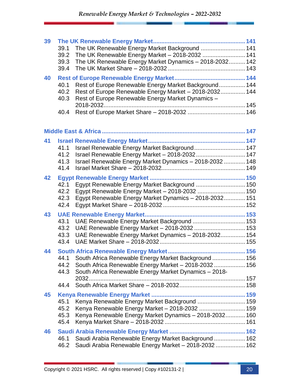| 39 | 39.1<br>39.2<br>39.3<br>39.4 | The UK Renewable Energy Market Background  141<br>The UK Renewable Energy Market - 2018-2032  141<br>The UK Renewable Energy Market Dynamics - 2018-2032 142         |  |
|----|------------------------------|----------------------------------------------------------------------------------------------------------------------------------------------------------------------|--|
| 40 | 40.1<br>40.2<br>40.3         | Rest of Europe Renewable Energy Market Background 144<br>Rest of Europe Renewable Energy Market - 2018-2032 144<br>Rest of Europe Renewable Energy Market Dynamics - |  |
|    | 40.4                         |                                                                                                                                                                      |  |
|    |                              |                                                                                                                                                                      |  |
| 41 |                              |                                                                                                                                                                      |  |
|    | 41.1                         | Israel Renewable Energy Market Background 147                                                                                                                        |  |
|    | 41.2                         | Israel Renewable Energy Market - 2018-2032 147                                                                                                                       |  |
|    | 41.3                         | Israel Renewable Energy Market Dynamics - 2018-2032  148                                                                                                             |  |
|    | 41.4                         |                                                                                                                                                                      |  |
| 42 |                              |                                                                                                                                                                      |  |
|    | 42.1                         | Egypt Renewable Energy Market Background  150                                                                                                                        |  |
|    | 42.2                         | Egypt Renewable Energy Market - 2018-2032  150                                                                                                                       |  |
|    | 42.3                         | Egypt Renewable Energy Market Dynamics - 2018-2032 151                                                                                                               |  |
|    | 42.4                         |                                                                                                                                                                      |  |
| 43 |                              |                                                                                                                                                                      |  |
|    | 43.1                         | UAE Renewable Energy Market Background  153                                                                                                                          |  |
|    | 43.2                         | UAE Renewable Energy Market - 2018-2032  153                                                                                                                         |  |
|    | 43.3                         | UAE Renewable Energy Market Dynamics - 2018-2032 154                                                                                                                 |  |
|    | 43.4                         |                                                                                                                                                                      |  |
| 44 |                              |                                                                                                                                                                      |  |
|    |                              | 44.1 South Africa Renewable Energy Market Background 156                                                                                                             |  |
|    | 44.2<br>44.3                 | South Africa Renewable Energy Market - 2018-2032 156                                                                                                                 |  |
|    |                              | South Africa Renewable Energy Market Dynamics - 2018-                                                                                                                |  |
|    | 44.4                         |                                                                                                                                                                      |  |
|    |                              |                                                                                                                                                                      |  |
| 45 | 45.1                         | Kenya Renewable Energy Market Background  159                                                                                                                        |  |
|    | 45.2                         | Kenya Renewable Energy Market - 2018-2032  159                                                                                                                       |  |
|    | 45.3                         | Kenya Renewable Energy Market Dynamics - 2018-2032 160                                                                                                               |  |
|    | 45.4                         |                                                                                                                                                                      |  |
| 46 |                              |                                                                                                                                                                      |  |
|    | 46.1                         | Saudi Arabia Renewable Energy Market Background  162                                                                                                                 |  |
|    | 46.2                         | Saudi Arabia Renewable Energy Market - 2018-2032  162                                                                                                                |  |
|    |                              |                                                                                                                                                                      |  |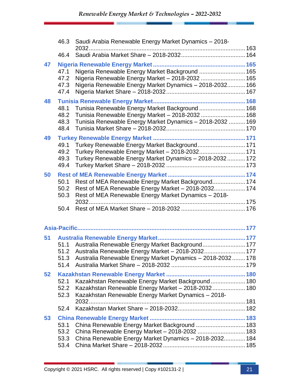|    | 46.3                         | Saudi Arabia Renewable Energy Market Dynamics - 2018-<br>$2032$                                                                                                     |  |
|----|------------------------------|---------------------------------------------------------------------------------------------------------------------------------------------------------------------|--|
|    | 46.4                         |                                                                                                                                                                     |  |
| 47 | 47.1<br>47.2<br>47.3<br>47.4 | Nigeria Renewable Energy Market Background  165<br>Nigeria Renewable Energy Market - 2018-2032  165<br>Nigeria Renewable Energy Market Dynamics - 2018-2032 166     |  |
| 48 | 48.1<br>48.2<br>48.3<br>48.4 | Tunisia Renewable Energy Market Background  168<br>Tunisia Renewable Energy Market - 2018-2032  168<br>Tunisia Renewable Energy Market Dynamics - 2018-2032  169    |  |
| 49 | 49.1<br>49.2<br>49.3<br>49.4 | Turkey Renewable Energy Market Background 171<br>Turkey Renewable Energy Market - 2018-2032 171<br>Turkey Renewable Energy Market Dynamics - 2018-2032 172          |  |
| 50 | 50.1<br>50.2<br>50.3         | Rest of MEA Renewable Energy Market Background 174<br>Rest of MEA Renewable Energy Market - 2018-2032 174<br>Rest of MEA Renewable Energy Market Dynamics - 2018-   |  |
|    | 50.4                         |                                                                                                                                                                     |  |
|    |                              |                                                                                                                                                                     |  |
| 51 | 51.1<br>51.2<br>51.3<br>51.4 | Australia Renewable Energy Market Background 177<br>Australia Renewable Energy Market - 2018-2032 177<br>Australia Renewable Energy Market Dynamics - 2018-2032 178 |  |
| 52 | 52.1<br>52.2<br>52.3<br>52.4 | Kazakhstan Renewable Energy Market Background 180<br>Kazakhstan Renewable Energy Market - 2018-2032 180<br>Kazakhstan Renewable Energy Market Dynamics - 2018-      |  |
| 53 | 53.1<br>53.2<br>53.3<br>53.4 | China Renewable Energy Market Background  183<br>China Renewable Energy Market - 2018-2032  183<br>China Renewable Energy Market Dynamics - 2018-2032 184           |  |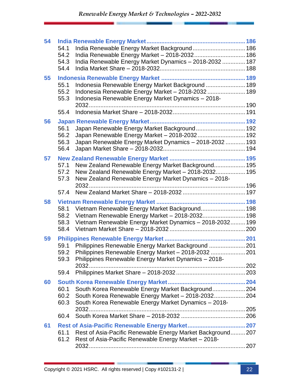| 54 |              |                                                                                                              |  |
|----|--------------|--------------------------------------------------------------------------------------------------------------|--|
|    | 54.1         | India Renewable Energy Market Background 186                                                                 |  |
|    | 54.2<br>54.3 | India Renewable Energy Market - 2018-2032 186                                                                |  |
|    | 54.4         | India Renewable Energy Market Dynamics - 2018-2032  187                                                      |  |
|    |              |                                                                                                              |  |
| 55 | 55.1         | Indonesia Renewable Energy Market Background  189                                                            |  |
|    | 55.2         | Indonesia Renewable Energy Market - 2018-2032  189                                                           |  |
|    | 55.3         | Indonesia Renewable Energy Market Dynamics - 2018-                                                           |  |
|    |              |                                                                                                              |  |
|    | 55.4         |                                                                                                              |  |
| 56 |              |                                                                                                              |  |
|    | 56.1         | Japan Renewable Energy Market Background 192                                                                 |  |
|    | 56.2         | Japan Renewable Energy Market - 2018-2032 192                                                                |  |
|    | 56.3         | Japan Renewable Energy Market Dynamics - 2018-2032  193                                                      |  |
|    | 56.4         |                                                                                                              |  |
| 57 |              |                                                                                                              |  |
|    | 57.1         | New Zealand Renewable Energy Market Background 195                                                           |  |
|    | 57.2<br>57.3 | New Zealand Renewable Energy Market - 2018-2032 195<br>New Zealand Renewable Energy Market Dynamics - 2018-  |  |
|    |              |                                                                                                              |  |
|    | 57.4         |                                                                                                              |  |
| 58 |              |                                                                                                              |  |
|    | 58.1         | Vietnam Renewable Energy Market Background 198                                                               |  |
|    | 58.2         | Vietnam Renewable Energy Market - 2018-2032 198                                                              |  |
|    | 58.3         | Vietnam Renewable Energy Market Dynamics - 2018-2032 199                                                     |  |
|    | 58.4         |                                                                                                              |  |
| 59 |              |                                                                                                              |  |
|    | 59.1         | Philippines Renewable Energy Market Background  201                                                          |  |
|    | 59.2<br>59.3 | Philippines Renewable Energy Market - 2018-2032  201<br>Philippines Renewable Energy Market Dynamics - 2018- |  |
|    |              |                                                                                                              |  |
|    | 59.4         |                                                                                                              |  |
| 60 |              |                                                                                                              |  |
|    | 60.1         | South Korea Renewable Energy Market Background 204                                                           |  |
|    | 60.2         | South Korea Renewable Energy Market - 2018-2032 204                                                          |  |
|    | 60.3         | South Korea Renewable Energy Market Dynamics - 2018-                                                         |  |
|    |              |                                                                                                              |  |
|    | 60.4         |                                                                                                              |  |
| 61 |              |                                                                                                              |  |
|    | 61.1         | Rest of Asia-Pacific Renewable Energy Market Background 207                                                  |  |
|    | 61.2         | Rest of Asia-Pacific Renewable Energy Market - 2018-                                                         |  |
|    |              |                                                                                                              |  |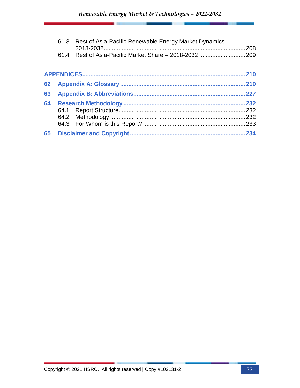|    | 61.3 Rest of Asia-Pacific Renewable Energy Market Dynamics - |      |
|----|--------------------------------------------------------------|------|
|    |                                                              |      |
|    |                                                              | 210  |
| 62 |                                                              | 210  |
| 63 |                                                              |      |
| 64 |                                                              | .232 |
| 65 |                                                              |      |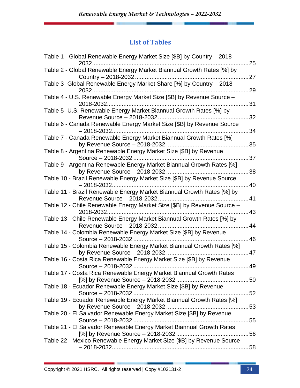#### **List of Tables**

| Table 1 - Global Renewable Energy Market Size [\$B] by Country – 2018-                                   | 25 |
|----------------------------------------------------------------------------------------------------------|----|
| Table 2 - Global Renewable Energy Market Biannual Growth Rates [%] by                                    | 27 |
| Country - 2018-2032<br>Table 3- Global Renewable Energy Market Share [%] by Country - 2018-<br>2032      | 29 |
| Table 4 - U.S. Renewable Energy Market Size [\$B] by Revenue Source -                                    | 31 |
| Table 5- U.S. Renewable Energy Market Biannual Growth Rates [%] by                                       | 32 |
| Table 6 - Canada Renewable Energy Market Size [\$B] by Revenue Source<br>$-2018 - 2032$                  | 34 |
| Table 7 - Canada Renewable Energy Market Biannual Growth Rates [%]                                       | 35 |
| Table 8 - Argentina Renewable Energy Market Size [\$B] by Revenue                                        | 37 |
| Table 9 - Argentina Renewable Energy Market Biannual Growth Rates [%]                                    |    |
| by Revenue Source - 2018-2032.<br>Table 10 - Brazil Renewable Energy Market Size [\$B] by Revenue Source | 38 |
| Table 11 - Brazil Renewable Energy Market Biannual Growth Rates [%] by                                   | 40 |
| Table 12 - Chile Renewable Energy Market Size [\$B] by Revenue Source -                                  | 41 |
| Table 13 - Chile Renewable Energy Market Biannual Growth Rates [%] by                                    | 43 |
| Revenue Source - 2018-2032<br>Table 14 - Colombia Renewable Energy Market Size [\$B] by Revenue          | 44 |
| Table 15 - Colombia Renewable Energy Market Biannual Growth Rates [%]                                    | 46 |
| Table 16 - Costa Rica Renewable Energy Market Size [\$B] by Revenue                                      | 47 |
| Table 17 - Costa Rica Renewable Energy Market Biannual Growth Rates                                      | 49 |
| Table 18 - Ecuador Renewable Energy Market Size [\$B] by Revenue                                         |    |
| Table 19 - Ecuador Renewable Energy Market Biannual Growth Rates [%]                                     |    |
| Table 20 - El Salvador Renewable Energy Market Size [\$B] by Revenue                                     |    |
| Table 21 - El Salvador Renewable Energy Market Biannual Growth Rates                                     |    |
| Table 22 - Mexico Renewable Energy Market Size [\$B] by Revenue Source                                   |    |
|                                                                                                          |    |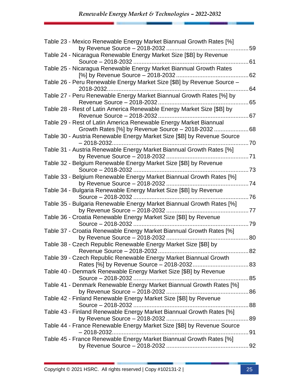| Table 23 - Mexico Renewable Energy Market Biannual Growth Rates [%]                 | 59  |
|-------------------------------------------------------------------------------------|-----|
| Table 24 - Nicaragua Renewable Energy Market Size [\$B] by Revenue                  |     |
|                                                                                     | 61  |
| Table 25 - Nicaragua Renewable Energy Market Biannual Growth Rates                  |     |
| [%] by Revenue Source - 2018-2032                                                   | 62  |
| Table 26 - Peru Renewable Energy Market Size [\$B] by Revenue Source -<br>2018-2032 | 64  |
| Table 27 - Peru Renewable Energy Market Biannual Growth Rates [%] by                | 65  |
| Table 28 - Rest of Latin America Renewable Energy Market Size [\$B] by              | 67  |
| Table 29 - Rest of Latin America Renewable Energy Market Biannual                   |     |
| Growth Rates [%] by Revenue Source - 2018-2032                                      | 68  |
| Table 30 - Austria Renewable Energy Market Size [\$B] by Revenue Source             | 70  |
| Table 31 - Austria Renewable Energy Market Biannual Growth Rates [%]                |     |
| by Revenue Source - 2018-2032                                                       |     |
| Table 32 - Belgium Renewable Energy Market Size [\$B] by Revenue                    |     |
| Source - 2018-2032                                                                  | .73 |
| Table 33 - Belgium Renewable Energy Market Biannual Growth Rates [%]                |     |
|                                                                                     |     |
| Table 34 - Bulgaria Renewable Energy Market Size [\$B] by Revenue                   |     |
|                                                                                     |     |
| Table 35 - Bulgaria Renewable Energy Market Biannual Growth Rates [%]               |     |
|                                                                                     | 77  |
| Table 36 - Croatia Renewable Energy Market Size [\$B] by Revenue                    |     |
| Source - 2018-2032                                                                  | 79  |
| Table 37 - Croatia Renewable Energy Market Biannual Growth Rates [%]                |     |
|                                                                                     | 80  |
| Table 38 - Czech Republic Renewable Energy Market Size [\$B] by                     |     |
|                                                                                     | 82  |
| Table 39 - Czech Republic Renewable Energy Market Biannual Growth                   |     |
|                                                                                     |     |
| Table 40 - Denmark Renewable Energy Market Size [\$B] by Revenue                    |     |
|                                                                                     |     |
| Table 41 - Denmark Renewable Energy Market Biannual Growth Rates [%]                |     |
|                                                                                     |     |
| Table 42 - Finland Renewable Energy Market Size [\$B] by Revenue                    |     |
| . 88                                                                                |     |
| Table 43 - Finland Renewable Energy Market Biannual Growth Rates [%]                |     |
|                                                                                     |     |
| Table 44 - France Renewable Energy Market Size [\$B] by Revenue Source              |     |
|                                                                                     | 91  |
|                                                                                     |     |
| Table 45 - France Renewable Energy Market Biannual Growth Rates [%]                 |     |
|                                                                                     |     |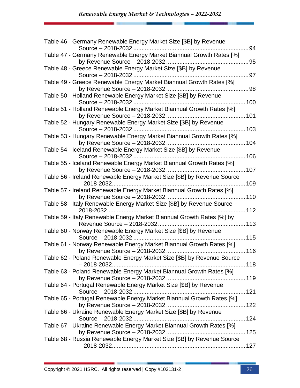| Table 46 - Germany Renewable Energy Market Size [\$B] by Revenue                       | 94   |
|----------------------------------------------------------------------------------------|------|
| Table 47 - Germany Renewable Energy Market Biannual Growth Rates [%]                   |      |
|                                                                                        | 95   |
| Table 48 - Greece Renewable Energy Market Size [\$B] by Revenue                        |      |
|                                                                                        | 97   |
| Table 49 - Greece Renewable Energy Market Biannual Growth Rates [%]                    | . 98 |
| Table 50 - Holland Renewable Energy Market Size [\$B] by Revenue                       | 100  |
| Table 51 - Holland Renewable Energy Market Biannual Growth Rates [%]                   |      |
| Table 52 - Hungary Renewable Energy Market Size [\$B] by Revenue<br>Source - 2018-2032 | 103  |
| Table 53 - Hungary Renewable Energy Market Biannual Growth Rates [%]                   |      |
|                                                                                        |      |
| Table 54 - Iceland Renewable Energy Market Size [\$B] by Revenue                       |      |
| Table 55 - Iceland Renewable Energy Market Biannual Growth Rates [%]                   |      |
|                                                                                        |      |
| Table 56 - Ireland Renewable Energy Market Size [\$B] by Revenue Source                | 109  |
| Table 57 - Ireland Renewable Energy Market Biannual Growth Rates [%]                   |      |
|                                                                                        |      |
| Table 58 - Italy Renewable Energy Market Size [\$B] by Revenue Source -                |      |
|                                                                                        |      |
| Table 59 - Italy Renewable Energy Market Biannual Growth Rates [%] by                  |      |
| Revenue Source - 2018-2032                                                             |      |
| Table 60 - Norway Renewable Energy Market Size [\$B] by Revenue                        |      |
| Table 61 - Norway Renewable Energy Market Biannual Growth Rates [%]                    |      |
|                                                                                        |      |
| Table 62 - Poland Renewable Energy Market Size [\$B] by Revenue Source                 |      |
| Table 63 - Poland Renewable Energy Market Biannual Growth Rates [%]                    |      |
|                                                                                        |      |
| Table 64 - Portugal Renewable Energy Market Size [\$B] by Revenue                      |      |
| Table 65 - Portugal Renewable Energy Market Biannual Growth Rates [%]                  |      |
|                                                                                        |      |
| Table 66 - Ukraine Renewable Energy Market Size [\$B] by Revenue                       |      |
|                                                                                        |      |
| Table 67 - Ukraine Renewable Energy Market Biannual Growth Rates [%]                   |      |
|                                                                                        |      |
| Table 68 - Russia Renewable Energy Market Size [\$B] by Revenue Source                 |      |
|                                                                                        |      |
|                                                                                        |      |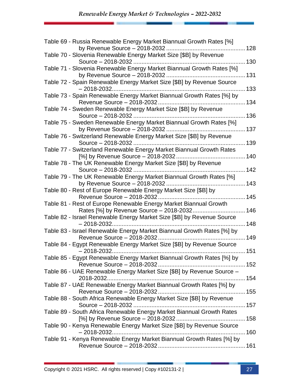| Table 69 - Russia Renewable Energy Market Biannual Growth Rates [%]                                        |      |
|------------------------------------------------------------------------------------------------------------|------|
| Table 70 - Slovenia Renewable Energy Market Size [\$B] by Revenue                                          |      |
|                                                                                                            |      |
| Table 71 - Slovenia Renewable Energy Market Biannual Growth Rates [%]                                      |      |
| Table 72 - Spain Renewable Energy Market Size [\$B] by Revenue Source<br>$-2018 - 2032.$                   | 133  |
| Table 73 - Spain Renewable Energy Market Biannual Growth Rates [%] by                                      |      |
| Table 74 - Sweden Renewable Energy Market Size [\$B] by Revenue                                            |      |
| Table 75 - Sweden Renewable Energy Market Biannual Growth Rates [%]                                        |      |
| Table 76 - Switzerland Renewable Energy Market Size [\$B] by Revenue                                       | 137  |
|                                                                                                            | 139  |
| Table 77 - Switzerland Renewable Energy Market Biannual Growth Rates<br>[%] by Revenue Source - 2018-2032. | .140 |
| Table 78 - The UK Renewable Energy Market Size [\$B] by Revenue<br>Source - 2018-2032                      | 142  |
| Table 79 - The UK Renewable Energy Market Biannual Growth Rates [%]                                        | 143  |
| Table 80 - Rest of Europe Renewable Energy Market Size [\$B] by                                            |      |
| Table 81 - Rest of Europe Renewable Energy Market Biannual Growth                                          |      |
|                                                                                                            | .146 |
| Table 82 - Israel Renewable Energy Market Size [\$B] by Revenue Source                                     |      |
| $-2018 - 2032.$<br>.                                                                                       | 148  |
| Table 83 - Israel Renewable Energy Market Biannual Growth Rates [%] by                                     |      |
| Table 84 - Egypt Renewable Energy Market Size [\$B] by Revenue Source                                      |      |
| $-2018 - 2032.$                                                                                            | 151  |
| Table 85 - Egypt Renewable Energy Market Biannual Growth Rates [%] by                                      |      |
|                                                                                                            |      |
| Table 86 - UAE Renewable Energy Market Size [\$B] by Revenue Source -                                      |      |
| Table 87 - UAE Renewable Energy Market Biannual Growth Rates [%] by                                        |      |
| Table 88 - South Africa Renewable Energy Market Size [\$B] by Revenue                                      |      |
|                                                                                                            |      |
| Table 89 - South Africa Renewable Energy Market Biannual Growth Rates                                      |      |
| Table 90 - Kenya Renewable Energy Market Size [\$B] by Revenue Source                                      |      |
|                                                                                                            |      |
| Table 91 - Kenya Renewable Energy Market Biannual Growth Rates [%] by                                      |      |
|                                                                                                            |      |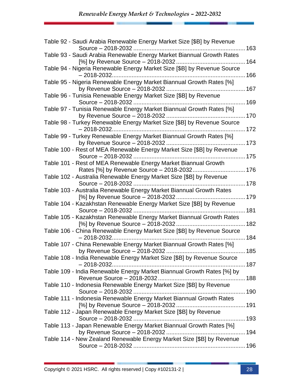| Table 92 - Saudi Arabia Renewable Energy Market Size [\$B] by Revenue                    | 163 |
|------------------------------------------------------------------------------------------|-----|
| Table 93 - Saudi Arabia Renewable Energy Market Biannual Growth Rates                    |     |
| Table 94 - Nigeria Renewable Energy Market Size [\$B] by Revenue Source                  |     |
|                                                                                          |     |
| Table 95 - Nigeria Renewable Energy Market Biannual Growth Rates [%]                     |     |
|                                                                                          |     |
| Table 96 - Tunisia Renewable Energy Market Size [\$B] by Revenue                         |     |
| Table 97 - Tunisia Renewable Energy Market Biannual Growth Rates [%]                     |     |
|                                                                                          |     |
| Table 98 - Turkey Renewable Energy Market Size [\$B] by Revenue Source<br>$-2018 - 2032$ | 172 |
| Table 99 - Turkey Renewable Energy Market Biannual Growth Rates [%]                      |     |
|                                                                                          |     |
| Table 100 - Rest of MEA Renewable Energy Market Size [\$B] by Revenue                    |     |
| Table 101 - Rest of MEA Renewable Energy Market Biannual Growth                          |     |
| Rates [%] by Revenue Source - 2018-2032 176                                              |     |
| Table 102 - Australia Renewable Energy Market Size [\$B] by Revenue                      |     |
|                                                                                          |     |
| Table 103 - Australia Renewable Energy Market Biannual Growth Rates                      |     |
| Table 104 - Kazakhstan Renewable Energy Market Size [\$B] by Revenue                     |     |
|                                                                                          |     |
| Table 105 - Kazakhstan Renewable Energy Market Biannual Growth Rates                     |     |
| Table 106 - China Renewable Energy Market Size [\$B] by Revenue Source                   | 182 |
|                                                                                          |     |
| Table 107 - China Renewable Energy Market Biannual Growth Rates [%]                      |     |
|                                                                                          |     |
| Table 108 - India Renewable Energy Market Size [\$B] by Revenue Source                   |     |
| Table 109 - India Renewable Energy Market Biannual Growth Rates [%] by                   |     |
|                                                                                          |     |
| Table 110 - Indonesia Renewable Energy Market Size [\$B] by Revenue                      |     |
| Table 111 - Indonesia Renewable Energy Market Biannual Growth Rates                      |     |
|                                                                                          |     |
| Table 112 - Japan Renewable Energy Market Size [\$B] by Revenue                          |     |
|                                                                                          |     |
| Table 113 - Japan Renewable Energy Market Biannual Growth Rates [%]                      |     |
| Table 114 - New Zealand Renewable Energy Market Size [\$B] by Revenue                    |     |
|                                                                                          |     |
|                                                                                          |     |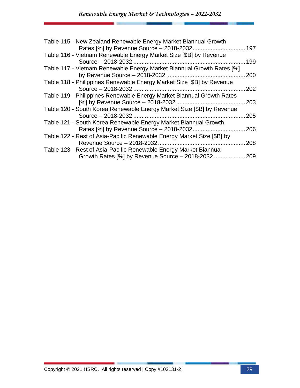| Table 116 - Vietnam Renewable Energy Market Size [\$B] by Revenue<br>Source - 2018-2032<br>199                              |
|-----------------------------------------------------------------------------------------------------------------------------|
|                                                                                                                             |
| Table 117 - Vietnam Renewable Energy Market Biannual Growth Rates [%]<br>200                                                |
| Table 118 - Philippines Renewable Energy Market Size [\$B] by Revenue<br>202                                                |
| Table 119 - Philippines Renewable Energy Market Biannual Growth Rates<br>203                                                |
| Table 120 - South Korea Renewable Energy Market Size [\$B] by Revenue<br>205                                                |
| Table 121 - South Korea Renewable Energy Market Biannual Growth<br>Rates [%] by Revenue Source - 2018-2032<br>206           |
| Table 122 - Rest of Asia-Pacific Renewable Energy Market Size [\$B] by<br>208                                               |
| Table 123 - Rest of Asia-Pacific Renewable Energy Market Biannual<br>Growth Rates [%] by Revenue Source - 2018-2032<br>.209 |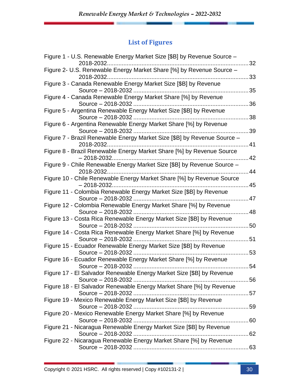### **List of Figures**

| Figure 1 - U.S. Renewable Energy Market Size [\$B] by Revenue Source -<br>2018-2032         | 32       |
|---------------------------------------------------------------------------------------------|----------|
| Figure 2- U.S. Renewable Energy Market Share [%] by Revenue Source -                        |          |
| 2018-2032.<br>Figure 3 - Canada Renewable Energy Market Size [\$B] by Revenue               | 33       |
| Figure 4 - Canada Renewable Energy Market Share [%] by Revenue<br>Source - 2018-2032        | 35<br>36 |
| Figure 5 - Argentina Renewable Energy Market Size [\$B] by Revenue<br>Source - 2018-2032    | 38       |
| Figure 6 - Argentina Renewable Energy Market Share [%] by Revenue<br>Source - 2018-2032     | 39       |
| Figure 7 - Brazil Renewable Energy Market Size [\$B] by Revenue Source -<br>2018-2032       | 41       |
| Figure 8 - Brazil Renewable Energy Market Share [%] by Revenue Source                       | 42       |
| Figure 9 - Chile Renewable Energy Market Size [\$B] by Revenue Source -<br>2018-2032        | 44       |
| Figure 10 - Chile Renewable Energy Market Share [%] by Revenue Source                       | 45       |
| Figure 11 - Colombia Renewable Energy Market Size [\$B] by Revenue                          | 47       |
| Figure 12 - Colombia Renewable Energy Market Share [%] by Revenue<br>Source - 2018-2032     | 48       |
| Figure 13 - Costa Rica Renewable Energy Market Size [\$B] by Revenue<br>Source - 2018-2032  | 50       |
| Figure 14 - Costa Rica Renewable Energy Market Share [%] by Revenue                         | 51       |
| Figure 15 - Ecuador Renewable Energy Market Size [\$B] by Revenue<br>Source - 2018-2032     | 53       |
| Figure 16 - Ecuador Renewable Energy Market Share [%] by Revenue                            | 54       |
| Figure 17 - El Salvador Renewable Energy Market Size [\$B] by Revenue<br>Source - 2018-2032 |          |
| Figure 18 - El Salvador Renewable Energy Market Share [%] by Revenue                        |          |
| Figure 19 - Mexico Renewable Energy Market Size [\$B] by Revenue                            |          |
| Figure 20 - Mexico Renewable Energy Market Share [%] by Revenue                             |          |
| Figure 21 - Nicaragua Renewable Energy Market Size [\$B] by Revenue                         |          |
| Figure 22 - Nicaragua Renewable Energy Market Share [%] by Revenue                          |          |
|                                                                                             |          |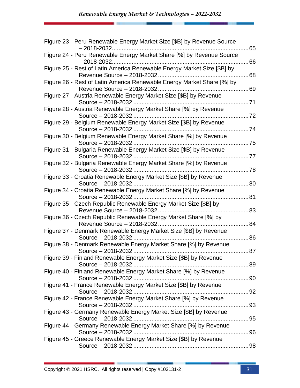| Figure 23 - Peru Renewable Energy Market Size [\$B] by Revenue Source                                 | 65  |
|-------------------------------------------------------------------------------------------------------|-----|
| Figure 24 - Peru Renewable Energy Market Share [%] by Revenue Source                                  | 66  |
| Figure 25 - Rest of Latin America Renewable Energy Market Size [\$B] by<br>Revenue Source - 2018-2032 | 68  |
| Figure 26 - Rest of Latin America Renewable Energy Market Share [%] by                                | 69  |
| Figure 27 - Austria Renewable Energy Market Size [\$B] by Revenue                                     | .71 |
| Figure 28 - Austria Renewable Energy Market Share [%] by Revenue                                      | 72  |
| Figure 29 - Belgium Renewable Energy Market Size [\$B] by Revenue<br>Source - 2018-2032               | 74  |
| Figure 30 - Belgium Renewable Energy Market Share [%] by Revenue<br>Source - 2018-2032                | .75 |
| Figure 31 - Bulgaria Renewable Energy Market Size [\$B] by Revenue                                    | 77  |
| Figure 32 - Bulgaria Renewable Energy Market Share [%] by Revenue<br>Source - 2018-2032               | 78  |
| Figure 33 - Croatia Renewable Energy Market Size [\$B] by Revenue                                     | 80  |
| Figure 34 - Croatia Renewable Energy Market Share [%] by Revenue                                      |     |
| Figure 35 - Czech Republic Renewable Energy Market Size [\$B] by                                      | 81  |
| Revenue Source - 2018-2032<br>Figure 36 - Czech Republic Renewable Energy Market Share [%] by         | 83  |
| Revenue Source - 2018-2032<br>Figure 37 - Denmark Renewable Energy Market Size [\$B] by Revenue       | 84  |
| Figure 38 - Denmark Renewable Energy Market Share [%] by Revenue                                      | 86  |
| Source - 2018-2032.<br>Figure 39 - Finland Renewable Energy Market Size [\$B] by Revenue              | 87  |
| Figure 40 - Finland Renewable Energy Market Share [%] by Revenue                                      |     |
| Figure 41 - France Renewable Energy Market Size [\$B] by Revenue                                      |     |
| Figure 42 - France Renewable Energy Market Share [%] by Revenue                                       |     |
| Figure 43 - Germany Renewable Energy Market Size [\$B] by Revenue                                     |     |
| Figure 44 - Germany Renewable Energy Market Share [%] by Revenue                                      |     |
| Figure 45 - Greece Renewable Energy Market Size [\$B] by Revenue                                      |     |
|                                                                                                       |     |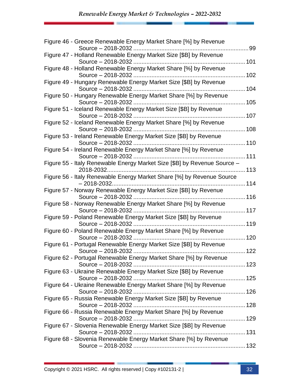| Figure 46 - Greece Renewable Energy Market Share [%] by Revenue                          | 99  |
|------------------------------------------------------------------------------------------|-----|
| Figure 47 - Holland Renewable Energy Market Size [\$B] by Revenue                        |     |
| Figure 48 - Holland Renewable Energy Market Share [%] by Revenue                         |     |
| Figure 49 - Hungary Renewable Energy Market Size [\$B] by Revenue                        | 102 |
| Source - 2018-2032<br>Figure 50 - Hungary Renewable Energy Market Share [%] by Revenue   | 104 |
|                                                                                          |     |
| Figure 51 - Iceland Renewable Energy Market Size [\$B] by Revenue                        |     |
| Figure 52 - Iceland Renewable Energy Market Share [%] by Revenue                         | 108 |
| Figure 53 - Ireland Renewable Energy Market Size [\$B] by Revenue                        |     |
| Figure 54 - Ireland Renewable Energy Market Share [%] by Revenue                         |     |
| Figure 55 - Italy Renewable Energy Market Size [\$B] by Revenue Source -                 |     |
| 2018-2032<br>Figure 56 - Italy Renewable Energy Market Share [%] by Revenue Source       |     |
| Figure 57 - Norway Renewable Energy Market Size [\$B] by Revenue                         | 114 |
| Figure 58 - Norway Renewable Energy Market Share [%] by Revenue                          |     |
|                                                                                          | 117 |
| Figure 59 - Poland Renewable Energy Market Size [\$B] by Revenue<br>Source - 2018-2032   | 119 |
| Figure 60 - Poland Renewable Energy Market Share [%] by Revenue                          | 120 |
| Figure 61 - Portugal Renewable Energy Market Size [\$B] by Revenue<br>Source - 2018-2032 | 122 |
| Figure 62 - Portugal Renewable Energy Market Share [%] by Revenue                        |     |
| Figure 63 - Ukraine Renewable Energy Market Size [\$B] by Revenue                        |     |
| Figure 64 - Ukraine Renewable Energy Market Share [%] by Revenue                         |     |
| Figure 65 - Russia Renewable Energy Market Size [\$B] by Revenue                         |     |
| Figure 66 - Russia Renewable Energy Market Share [%] by Revenue                          |     |
|                                                                                          |     |
| Figure 67 - Slovenia Renewable Energy Market Size [\$B] by Revenue                       |     |
| Figure 68 - Slovenia Renewable Energy Market Share [%] by Revenue                        |     |
|                                                                                          |     |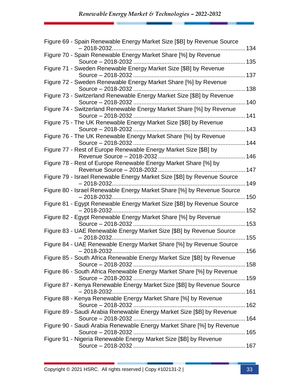| Figure 69 - Spain Renewable Energy Market Size [\$B] by Revenue Source<br>$-2018 - 2032.$             | .134 |
|-------------------------------------------------------------------------------------------------------|------|
| Figure 70 - Spain Renewable Energy Market Share [%] by Revenue                                        | 135  |
| Figure 71 - Sweden Renewable Energy Market Size [\$B] by Revenue                                      |      |
| Figure 72 - Sweden Renewable Energy Market Share [%] by Revenue                                       | 137  |
| Source - 2018-2032<br>Figure 73 - Switzerland Renewable Energy Market Size [\$B] by Revenue           | 138  |
|                                                                                                       | 140  |
| Figure 74 - Switzerland Renewable Energy Market Share [%] by Revenue                                  | 141  |
| Figure 75 - The UK Renewable Energy Market Size [\$B] by Revenue<br>Source - 2018-2032                | 143  |
| Figure 76 - The UK Renewable Energy Market Share [%] by Revenue                                       | 144  |
| Figure 77 - Rest of Europe Renewable Energy Market Size [\$B] by                                      |      |
| Figure 78 - Rest of Europe Renewable Energy Market Share [%] by                                       | 146  |
| Revenue Source - 2018-2032<br>Figure 79 - Israel Renewable Energy Market Size [\$B] by Revenue Source | 147  |
| Figure 80 - Israel Renewable Energy Market Share [%] by Revenue Source                                | 149  |
|                                                                                                       |      |
| Figure 81 - Egypt Renewable Energy Market Size [\$B] by Revenue Source<br>$-2018 - 2032.$             | 152  |
| Figure 82 - Egypt Renewable Energy Market Share [%] by Revenue<br>Source - 2018-2032                  | 153  |
| Figure 83 - UAE Renewable Energy Market Size [\$B] by Revenue Source                                  | .155 |
| Figure 84 - UAE Renewable Energy Market Share [%] by Revenue Source                                   |      |
| $-2018 - 2032.$<br>Figure 85 - South Africa Renewable Energy Market Size [\$B] by Revenue             |      |
| Figure 86 - South Africa Renewable Energy Market Share [%] by Revenue                                 |      |
| Figure 87 - Kenya Renewable Energy Market Size [\$B] by Revenue Source                                |      |
| $-2018 - 2032.$                                                                                       |      |
| Figure 88 - Kenya Renewable Energy Market Share [%] by Revenue                                        |      |
| Figure 89 - Saudi Arabia Renewable Energy Market Size [\$B] by Revenue                                |      |
| Figure 90 - Saudi Arabia Renewable Energy Market Share [%] by Revenue                                 |      |
| Figure 91 - Nigeria Renewable Energy Market Size [\$B] by Revenue                                     |      |
|                                                                                                       |      |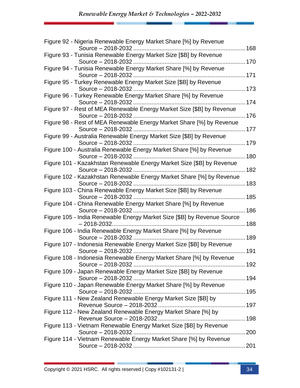| Figure 92 - Nigeria Renewable Energy Market Share [%] by Revenue<br>168                    |        |
|--------------------------------------------------------------------------------------------|--------|
| Figure 93 - Tunisia Renewable Energy Market Size [\$B] by Revenue                          |        |
| Figure 94 - Tunisia Renewable Energy Market Share [%] by Revenue                           |        |
| Figure 95 - Turkey Renewable Energy Market Size [\$B] by Revenue                           |        |
| Figure 96 - Turkey Renewable Energy Market Share [%] by Revenue                            | …… 173 |
|                                                                                            |        |
| Figure 97 - Rest of MEA Renewable Energy Market Size [\$B] by Revenue                      |        |
| Figure 98 - Rest of MEA Renewable Energy Market Share [%] by Revenue<br>Source - 2018-2032 |        |
| Figure 99 - Australia Renewable Energy Market Size [\$B] by Revenue                        |        |
| Figure 100 - Australia Renewable Energy Market Share [%] by Revenue                        |        |
| Figure 101 - Kazakhstan Renewable Energy Market Size [\$B] by Revenue                      |        |
| Source - 2018-2032<br>Figure 102 - Kazakhstan Renewable Energy Market Share [%] by Revenue | 182    |
| Figure 103 - China Renewable Energy Market Size [\$B] by Revenue                           |        |
|                                                                                            |        |
| Figure 104 - China Renewable Energy Market Share [%] by Revenue                            | 186    |
| Figure 105 - India Renewable Energy Market Size [\$B] by Revenue Source<br>$-2018 - 2032$  | 188    |
| Figure 106 - India Renewable Energy Market Share [%] by Revenue                            |        |
| Figure 107 - Indonesia Renewable Energy Market Size [\$B] by Revenue                       |        |
| Figure 108 - Indonesia Renewable Energy Market Share [%] by Revenue                        |        |
| Figure 109 - Japan Renewable Energy Market Size [\$B] by Revenue                           |        |
| Figure 110 - Japan Renewable Energy Market Share [%] by Revenue                            |        |
|                                                                                            |        |
| Figure 111 - New Zealand Renewable Energy Market Size [\$B] by                             |        |
| Figure 112 - New Zealand Renewable Energy Market Share [%] by                              |        |
| Figure 113 - Vietnam Renewable Energy Market Size [\$B] by Revenue<br>Source - 2018-2032   |        |
| Figure 114 - Vietnam Renewable Energy Market Share [%] by Revenue                          |        |
|                                                                                            |        |